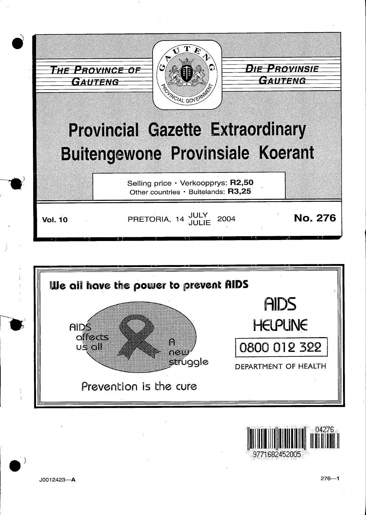